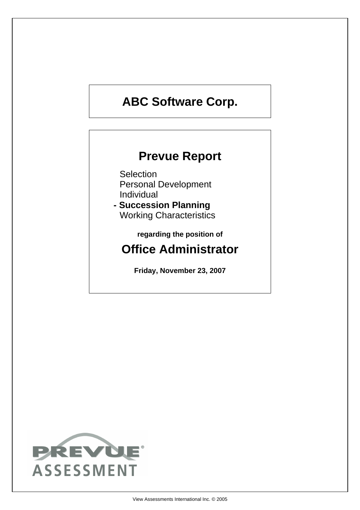# **ABC Software Corp.**

## **Prevue Report**

**Selection** Personal Development Individual

**- Succession Planning** Working Characteristics

**regarding the position of**

## **Office Administrator**

**Friday, November 23, 2007**

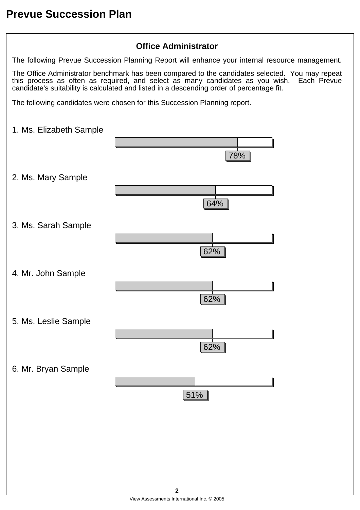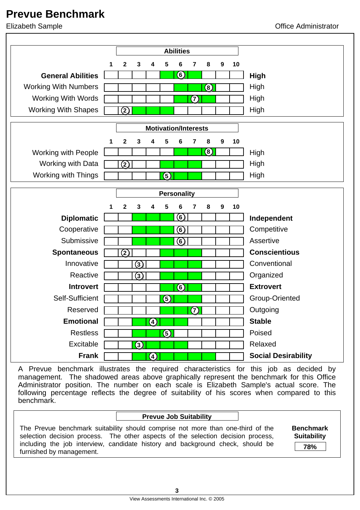

A Prevue benchmark illustrates the required characteristics for this job as decided by management. The shadowed areas above graphically represent the benchmark for this Office Administrator position. The number on each scale is Elizabeth Sample's actual score. The following percentage reflects the degree of suitability of his scores when compared to this benchmark.

#### **Prevue Job Suitability**

The Prevue benchmark suitability should comprise not more than one-third of the selection decision process. The other aspects of the selection decision process, including the job interview, candidate history and background check, should be furnished by management.

**Benchmark Suitability**

**78%**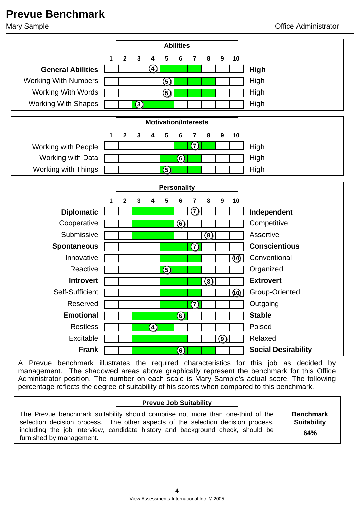

A Prevue benchmark illustrates the required characteristics for this job as decided by management. The shadowed areas above graphically represent the benchmark for this Office Administrator position. The number on each scale is Mary Sample's actual score. The following percentage reflects the degree of suitability of his scores when compared to this benchmark.

### **Prevue Job Suitability**

The Prevue benchmark suitability should comprise not more than one-third of the selection decision process. The other aspects of the selection decision process, including the job interview, candidate history and background check, should be furnished by management.

**Benchmark Suitability 64%**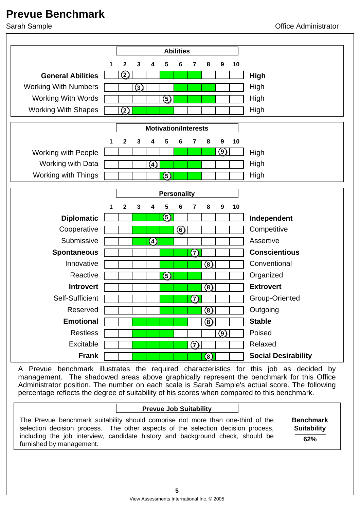

A Prevue benchmark illustrates the required characteristics for this job as decided by management. The shadowed areas above graphically represent the benchmark for this Office Administrator position. The number on each scale is Sarah Sample's actual score. The following percentage reflects the degree of suitability of his scores when compared to this benchmark.

### **Prevue Job Suitability**

The Prevue benchmark suitability should comprise not more than one-third of the selection decision process. The other aspects of the selection decision process, including the job interview, candidate history and background check, should be furnished by management.

**Benchmark Suitability 62%**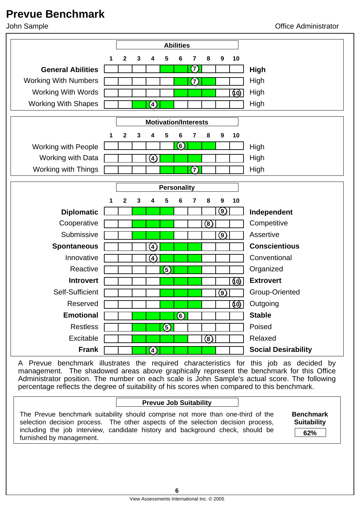

A Prevue benchmark illustrates the required characteristics for this job as decided by management. The shadowed areas above graphically represent the benchmark for this Office Administrator position. The number on each scale is John Sample's actual score. The following percentage reflects the degree of suitability of his scores when compared to this benchmark.

### **Prevue Job Suitability**

The Prevue benchmark suitability should comprise not more than one-third of the selection decision process. The other aspects of the selection decision process, including the job interview, candidate history and background check, should be furnished by management.

**Benchmark Suitability**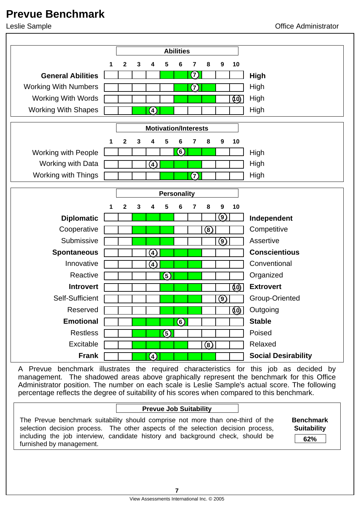

A Prevue benchmark illustrates the required characteristics for this job as decided by management. The shadowed areas above graphically represent the benchmark for this Office Administrator position. The number on each scale is Leslie Sample's actual score. The following percentage reflects the degree of suitability of his scores when compared to this benchmark.

### **Prevue Job Suitability**

The Prevue benchmark suitability should comprise not more than one-third of the selection decision process. The other aspects of the selection decision process, including the job interview, candidate history and background check, should be furnished by management.

**Benchmark Suitability 62%**